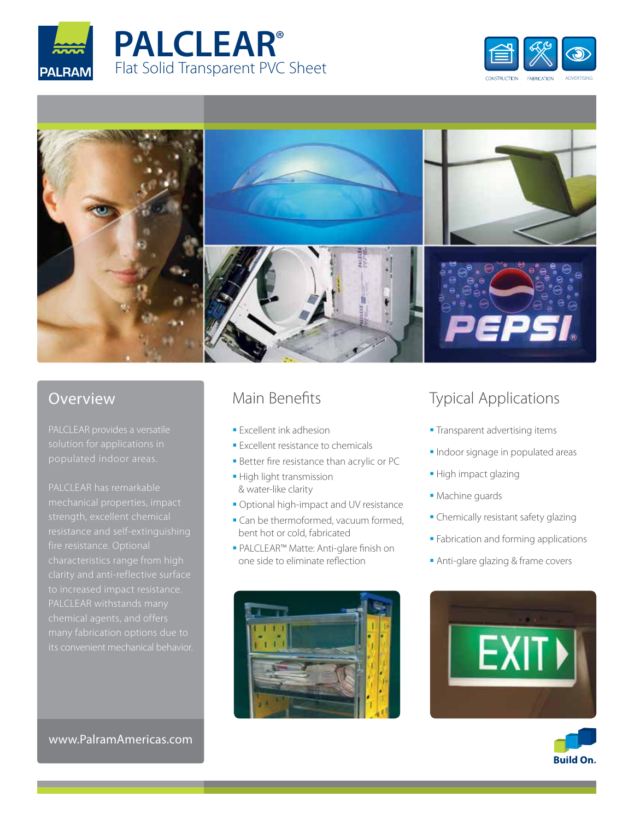







## Overview

PALCLEAR has remarkable characteristics range from high PALCLEAR withstands many its convenient mechanical behavior.

# Main Benefits

- **Excellent ink adhesion**
- **Excellent resistance to chemicals**
- **Better fire resistance than acrylic or PC**
- **High light transmission** & water-like clarity
- Optional high-impact and UV resistance
- **Can be thermoformed, vacuum formed,** bent hot or cold, fabricated
- PALCLEAR™ Matte: Anti-glare finish on one side to eliminate reflection



# Typical Applications

- **Transparent advertising items**
- **Indoor signage in populated areas**
- High impact glazing
- Machine guards
- Chemically resistant safety glazing
- **Fabrication and forming applications**
- Anti-glare glazing & frame covers